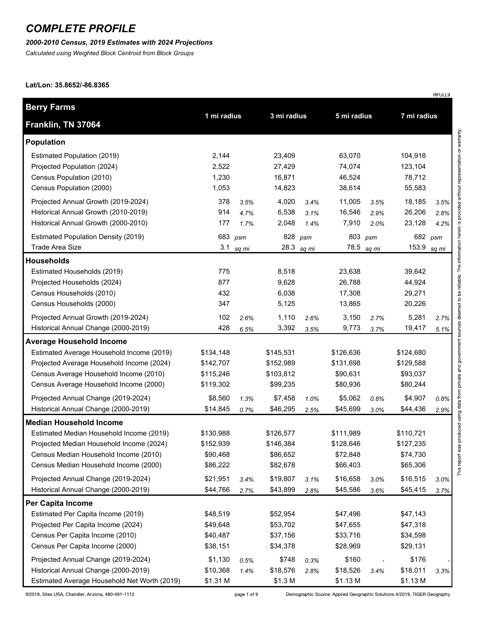#### *2000-2010 Census, 2019 Estimates with 2024 Projections*

*Calculated using Weighted Block Centroid from Block Groups*

#### **Lat/Lon: 35.8652/-86.8365**

| <b>Berry Farms</b>                                                                                                                                                                                                                                    |                                                                        |              |                                                                        |              |                                                                        |              |                                                                        |              |
|-------------------------------------------------------------------------------------------------------------------------------------------------------------------------------------------------------------------------------------------------------|------------------------------------------------------------------------|--------------|------------------------------------------------------------------------|--------------|------------------------------------------------------------------------|--------------|------------------------------------------------------------------------|--------------|
| Franklin, TN 37064                                                                                                                                                                                                                                    | 1 mi radius                                                            |              | 3 mi radius                                                            |              | 5 mi radius                                                            |              | 7 mi radius                                                            |              |
| Population                                                                                                                                                                                                                                            |                                                                        |              |                                                                        |              |                                                                        |              |                                                                        |              |
| Estimated Population (2019)<br>Projected Population (2024)<br>Census Population (2010)<br>Census Population (2000)                                                                                                                                    | 2,144<br>2,522<br>1,230<br>1,053                                       |              | 23,409<br>27,429<br>16,871<br>14,823                                   |              | 63,070<br>74,074<br>46,524<br>38,614                                   |              | 104,918<br>123,104<br>78,712<br>55,583                                 |              |
| Projected Annual Growth (2019-2024)                                                                                                                                                                                                                   | 378                                                                    | 3.5%         | 4,020                                                                  | 3.4%         | 11,005                                                                 | 3.5%         | 18,185                                                                 | 3.5%         |
| Historical Annual Growth (2010-2019)<br>Historical Annual Growth (2000-2010)                                                                                                                                                                          | 914<br>177                                                             | 4.7%<br>1.7% | 6,538<br>2,048                                                         | 3.1%<br>1.4% | 16,546<br>7,910                                                        | 2.9%<br>2.0% | 26,206<br>23,128                                                       | 2.8%<br>4.2% |
| <b>Estimated Population Density (2019)</b>                                                                                                                                                                                                            |                                                                        | 683 psm      |                                                                        | 828 psm      | 803 psm                                                                |              |                                                                        | 682 psm      |
| <b>Trade Area Size</b>                                                                                                                                                                                                                                |                                                                        | 3.1 sq $mi$  |                                                                        | 28.3 sq mi   |                                                                        | 78.5 sq mi   | 153.9 sq mi                                                            |              |
| <b>Households</b>                                                                                                                                                                                                                                     |                                                                        |              |                                                                        |              |                                                                        |              |                                                                        |              |
| Estimated Households (2019)<br>Projected Households (2024)<br>Census Households (2010)<br>Census Households (2000)                                                                                                                                    | 775<br>877<br>432<br>347                                               |              | 8,518<br>9,628<br>6,038<br>5,125                                       |              | 23,638<br>26,788<br>17,308<br>13,865                                   |              | 39,642<br>44,924<br>29,271<br>20,226                                   |              |
| Projected Annual Growth (2019-2024)                                                                                                                                                                                                                   | 102                                                                    | 2.6%         | 1,110                                                                  | 2.6%         | 3,150                                                                  | 2.7%         | 5,281                                                                  | 2.7%         |
| Historical Annual Change (2000-2019)                                                                                                                                                                                                                  | 428                                                                    | 6.5%         | 3,392                                                                  | 3.5%         | 9,773                                                                  | 3.7%         | 19,417                                                                 | 5.1%         |
| <b>Average Household Income</b>                                                                                                                                                                                                                       |                                                                        |              |                                                                        |              |                                                                        |              |                                                                        |              |
| Estimated Average Household Income (2019)<br>Projected Average Household Income (2024)<br>Census Average Household Income (2010)<br>Census Average Household Income (2000)                                                                            | \$134,148<br>\$142,707<br>\$115,246<br>\$119,302                       |              | \$145,531<br>\$152,989<br>\$103,812<br>\$99,235                        |              | \$126,636<br>\$131,698<br>\$90,631<br>\$80,936                         |              | \$124,680<br>\$129,588<br>\$93,037<br>\$80,244                         |              |
| Projected Annual Change (2019-2024)                                                                                                                                                                                                                   | \$8,560                                                                | 1.3%         | \$7,458                                                                | 1.0%         | \$5,062                                                                | 0.8%         | \$4,907                                                                | 0.8%         |
| Historical Annual Change (2000-2019)                                                                                                                                                                                                                  | \$14,845                                                               | 0.7%         | \$46,295                                                               | 2.5%         | \$45,699                                                               | 3.0%         | \$44,436                                                               | 2.9%         |
| <b>Median Household Income</b>                                                                                                                                                                                                                        |                                                                        |              |                                                                        |              |                                                                        |              |                                                                        |              |
| Estimated Median Household Income (2019)<br>Projected Median Household Income (2024)<br>Census Median Household Income (2010)<br>Census Median Household Income (2000)<br>Projected Annual Change (2019-2024)<br>Historical Annual Change (2000-2019) | \$130,988<br>\$152,939<br>\$90,468<br>\$86,222<br>\$21,951<br>\$44,766 | 3.4%<br>2.7% | \$126,577<br>\$146,384<br>\$86,652<br>\$82,678<br>\$19,807<br>\$43,899 | 3.1%<br>2.8% | \$111,989<br>\$128,646<br>\$72,848<br>\$66,403<br>\$16,658<br>\$45,586 | 3.0%<br>3.6% | \$110,721<br>\$127,235<br>\$74,730<br>\$65,306<br>\$16,515<br>\$45,415 | 3.0%<br>3.7% |
| Per Capita Income                                                                                                                                                                                                                                     |                                                                        |              |                                                                        |              |                                                                        |              |                                                                        |              |
| Estimated Per Capita Income (2019)<br>Projected Per Capita Income (2024)<br>Census Per Capita Income (2010)<br>Census Per Capita Income (2000)                                                                                                        | \$48,519<br>\$49,648<br>\$40,487<br>\$38,151                           |              | \$52,954<br>\$53,702<br>\$37,156<br>\$34,378                           |              | \$47,496<br>\$47,655<br>\$33,716<br>\$28,969                           |              | \$47,143<br>\$47,318<br>\$34,598<br>\$29,131                           |              |
| Projected Annual Change (2019-2024)<br>Historical Annual Change (2000-2019)<br>Estimated Average Household Net Worth (2019)                                                                                                                           | \$1,130<br>\$10,368<br>\$1.31 M                                        | 0.5%<br>1.4% | \$748<br>\$18,576<br>\$1.3 M                                           | 0.3%<br>2.8% | \$160<br>\$18,526<br>\$1.13 M                                          | 3.4%         | \$176<br>\$18,011<br>\$1.13 M                                          | 3.3%         |

page 1 of 9

Demographic Source: Applied Geographic Solutions 4/2019, TIGER Geography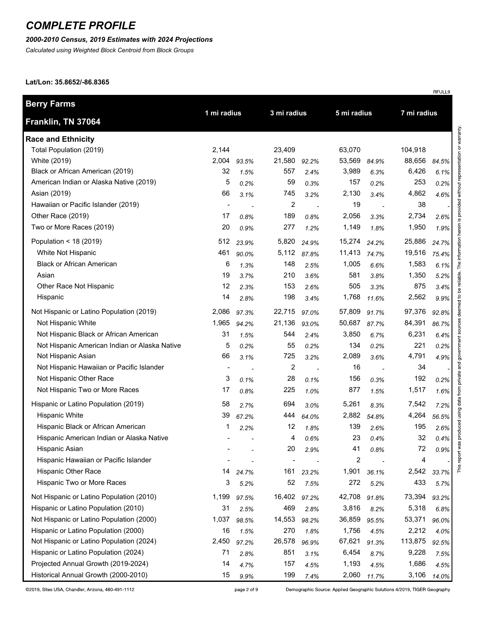### *2000-2010 Census, 2019 Estimates with 2024 Projections*

*Calculated using Weighted Block Centroid from Block Groups*

#### **Lat/Lon: 35.8652/-86.8365**

|                                               |                |       |                |             |        |                          |             | RFULL9 |  |
|-----------------------------------------------|----------------|-------|----------------|-------------|--------|--------------------------|-------------|--------|--|
| Berry Farms                                   | 1 mi radius    |       |                | 3 mi radius |        | 5 mi radius              |             |        |  |
| Franklin, TN 37064                            |                |       |                |             |        |                          | 7 mi radius |        |  |
| <b>Race and Ethnicity</b>                     |                |       |                |             |        |                          |             |        |  |
| Total Population (2019)                       | 2,144          |       | 23,409         |             | 63,070 |                          | 104,918     |        |  |
| White (2019)                                  | 2,004          | 93.5% | 21,580         | 92.2%       | 53,569 | 84.9%                    | 88,656      | 84.5%  |  |
| Black or African American (2019)              | 32             | 1.5%  | 557            | 2.4%        | 3,989  | 6.3%                     | 6,426       | 6.1%   |  |
| American Indian or Alaska Native (2019)       | 5              | 0.2%  | 59             | 0.3%        | 157    | 0.2%                     | 253         | 0.2%   |  |
| Asian (2019)                                  | 66             | 3.1%  | 745            | 3.2%        | 2,130  | 3.4%                     | 4,862       | 4.6%   |  |
| Hawaiian or Pacific Islander (2019)           | $\blacksquare$ |       | 2              |             | 19     |                          | 38          |        |  |
| Other Race (2019)                             | 17             | 0.8%  | 189            | 0.8%        | 2,056  | 3.3%                     | 2,734       | 2.6%   |  |
| Two or More Races (2019)                      | 20             | 0.9%  | 277            | 1.2%        | 1,149  | 1.8%                     | 1,950       | 1.9%   |  |
| Population < 18 (2019)                        | 512            | 23.9% | 5,820          | 24.9%       | 15,274 | 24.2%                    | 25,886      | 24.7%  |  |
| White Not Hispanic                            | 461            | 90.0% | 5,112          | 87.8%       | 11,413 | 74.7%                    | 19,516      | 75.4%  |  |
| <b>Black or African American</b>              | 6              | 1.3%  | 148            | 2.5%        | 1,005  | 6.6%                     | 1,583       | 6.1%   |  |
| Asian                                         | 19             | 3.7%  | 210            | 3.6%        | 581    | 3.8%                     | 1,350       | 5.2%   |  |
| Other Race Not Hispanic                       | 12             | 2.3%  | 153            | 2.6%        | 505    | 3.3%                     | 875         | 3.4%   |  |
| Hispanic                                      | 14             | 2.8%  | 198            | 3.4%        | 1,768  | 11.6%                    | 2,562       | 9.9%   |  |
| Not Hispanic or Latino Population (2019)      | 2,086          | 97.3% | 22,715         | 97.0%       | 57,809 | 91.7%                    | 97,376      | 92.8%  |  |
| Not Hispanic White                            | 1,965          | 94.2% | 21,136         | 93.0%       | 50,687 | 87.7%                    | 84,391      | 86.7%  |  |
| Not Hispanic Black or African American        | 31             | 1.5%  | 544            | 2.4%        | 3,850  | 6.7%                     | 6,231       | 6.4%   |  |
| Not Hispanic American Indian or Alaska Native | 5              | 0.2%  | 55             | 0.2%        | 134    | 0.2%                     | 221         | 0.2%   |  |
| Not Hispanic Asian                            | 66             | 3.1%  | 725            | 3.2%        | 2,089  | 3.6%                     | 4,791       | 4.9%   |  |
| Not Hispanic Hawaiian or Pacific Islander     | $\blacksquare$ |       | $\overline{c}$ | $\sim$      | 16     | $\overline{\phantom{a}}$ | 34          |        |  |
| Not Hispanic Other Race                       | 3              | 0.1%  | 28             | 0.1%        | 156    | 0.3%                     | 192         | 0.2%   |  |
| Not Hispanic Two or More Races                | 17             | 0.8%  | 225            | 1.0%        | 877    | 1.5%                     | 1,517       | 1.6%   |  |
| Hispanic or Latino Population (2019)          | 58             | 2.7%  | 694            | 3.0%        | 5,261  | 8.3%                     | 7,542       | 7.2%   |  |
| <b>Hispanic White</b>                         | 39             | 67.2% | 444            | 64.0%       | 2,882  | 54.8%                    | 4,264       | 56.5%  |  |
| Hispanic Black or African American            | 1              | 2.2%  | 12             | 1.8%        | 139    | 2.6%                     | 195         | 2.6%   |  |
| Hispanic American Indian or Alaska Native     |                |       | 4              | 0.6%        | 23     | 0.4%                     | 32          | 0.4%   |  |
| Hispanic Asian                                |                |       | 20             | 2.9%        | 41     | 0.8%                     | 72          | 0.9%   |  |
| Hispanic Hawaiian or Pacific Islander         |                |       |                |             | 2      |                          | 4           |        |  |
| Hispanic Other Race                           | 14             | 24.7% | 161            | 23.2%       | 1,901  | 36.1%                    | 2,542       | 33.7%  |  |
| Hispanic Two or More Races                    | 3              | 5.2%  | 52             | 7.5%        | 272    | 5.2%                     | 433         | 5.7%   |  |
| Not Hispanic or Latino Population (2010)      | 1,199          | 97.5% | 16,402         | 97.2%       | 42,708 | 91.8%                    | 73,394      | 93.2%  |  |
| Hispanic or Latino Population (2010)          | 31             | 2.5%  | 469            | 2.8%        | 3,816  | 8.2%                     | 5,318       | 6.8%   |  |
| Not Hispanic or Latino Population (2000)      | 1,037          | 98.5% | 14,553         | 98.2%       | 36,859 | 95.5%                    | 53,371      | 96.0%  |  |
| Hispanic or Latino Population (2000)          | 16             | 1.5%  | 270            | 1.8%        | 1,756  | 4.5%                     | 2,212       | 4.0%   |  |
| Not Hispanic or Latino Population (2024)      | 2,450          | 97.2% | 26,578         | 96.9%       | 67,621 | 91.3%                    | 113,875     | 92.5%  |  |
| Hispanic or Latino Population (2024)          | 71             | 2.8%  | 851            | 3.1%        | 6,454  | 8.7%                     | 9,228       | 7.5%   |  |
| Projected Annual Growth (2019-2024)           | 14             | 4.7%  | 157            | 4.5%        | 1,193  | 4.5%                     | 1,686       | 4.5%   |  |
| Historical Annual Growth (2000-2010)          | 15             | 9.9%  | 199            | 7.4%        | 2,060  | 11.7%                    | 3,106       | 14.0%  |  |

Demographic Source: Applied Geographic Solutions 4/2019, TIGER Geography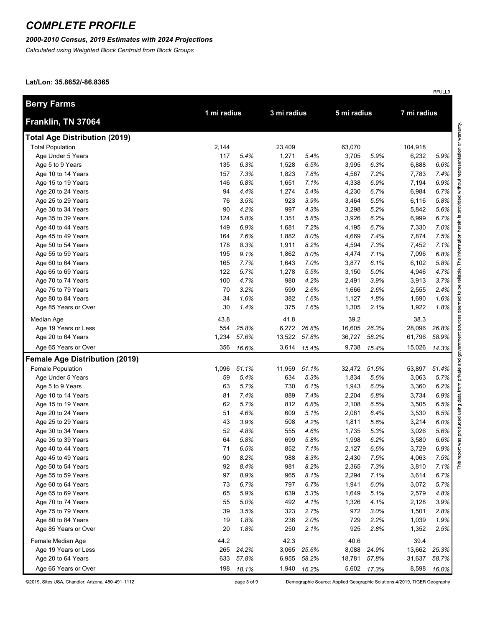### *2000-2010 Census, 2019 Estimates with 2024 Projections*

*Calculated using Weighted Block Centroid from Block Groups*

#### **Lat/Lon: 35.8652/-86.8365**

| <b>Berry Farms</b>                    | 1 mi radius |       | 3 mi radius |       | 5 mi radius |       | 7 mi radius |       |
|---------------------------------------|-------------|-------|-------------|-------|-------------|-------|-------------|-------|
| Franklin, TN 37064                    |             |       |             |       |             |       |             |       |
| <b>Total Age Distribution (2019)</b>  |             |       |             |       |             |       |             |       |
| <b>Total Population</b>               | 2,144       |       | 23,409      |       | 63,070      |       | 104,918     |       |
| Age Under 5 Years                     | 117         | 5.4%  | 1,271       | 5.4%  | 3,705       | 5.9%  | 6,232       | 5.9%  |
| Age 5 to 9 Years                      | 135         | 6.3%  | 1,528       | 6.5%  | 3,995       | 6.3%  | 6,888       | 6.6%  |
| Age 10 to 14 Years                    | 157         | 7.3%  | 1,823       | 7.8%  | 4,567       | 7.2%  | 7,783       | 7.4%  |
| Age 15 to 19 Years                    | 146         | 6.8%  | 1,651       | 7.1%  | 4,338       | 6.9%  | 7,194       | 6.9%  |
| Age 20 to 24 Years                    | 94          | 4.4%  | 1,274       | 5.4%  | 4,230       | 6.7%  | 6,984       | 6.7%  |
| Age 25 to 29 Years                    | 76          | 3.5%  | 923         | 3.9%  | 3,464       | 5.5%  | 6,116       | 5.8%  |
| Age 30 to 34 Years                    | 90          | 4.2%  | 997         | 4.3%  | 3,298       | 5.2%  | 5,842       | 5.6%  |
| Age 35 to 39 Years                    | 124         | 5.8%  | 1,351       | 5.8%  | 3,926       | 6.2%  | 6,999       | 6.7%  |
| Age 40 to 44 Years                    | 149         | 6.9%  | 1,681       | 7.2%  | 4,195       | 6.7%  | 7,330       | 7.0%  |
| Age 45 to 49 Years                    | 164         | 7.6%  | 1,882       | 8.0%  | 4,669       | 7.4%  | 7,874       | 7.5%  |
| Age 50 to 54 Years                    | 178         | 8.3%  | 1,911       | 8.2%  | 4,594       | 7.3%  | 7,452       | 7.1%  |
| Age 55 to 59 Years                    | 195         | 9.1%  | 1,862       | 8.0%  | 4,474       | 7.1%  | 7,096       | 6.8%  |
| Age 60 to 64 Years                    | 165         | 7.7%  | 1,643       | 7.0%  | 3,877       | 6.1%  | 6,102       | 5.8%  |
| Age 65 to 69 Years                    | 122         | 5.7%  | 1,278       | 5.5%  | 3,150       | 5.0%  | 4,946       | 4.7%  |
| Age 70 to 74 Years                    | 100         | 4.7%  | 980         | 4.2%  | 2,491       | 3.9%  | 3,913       | 3.7%  |
| Age 75 to 79 Years                    | 70          | 3.2%  | 599         | 2.6%  | 1,666       | 2.6%  | 2,555       | 2.4%  |
| Age 80 to 84 Years                    | 34          | 1.6%  | 382         | 1.6%  | 1,127       | 1.8%  | 1,690       | 1.6%  |
| Age 85 Years or Over                  | 30          | 1.4%  | 375         | 1.6%  | 1,305       | 2.1%  | 1,922       | 1.8%  |
| Median Age                            | 43.8        |       | 41.8        |       | 39.2        |       | 38.3        |       |
| Age 19 Years or Less                  | 554         | 25.8% | 6,272       | 26.8% | 16,605      | 26.3% | 28,096      | 26.8% |
| Age 20 to 64 Years                    | 1,234       | 57.6% | 13,522      | 57.8% | 36,727      | 58.2% | 61,796      | 58.9% |
| Age 65 Years or Over                  | 356         | 16.6% | 3,614       | 15.4% | 9,738       | 15.4% | 15,026      | 14.3% |
| <b>Female Age Distribution (2019)</b> |             |       |             |       |             |       |             |       |
| Female Population                     | 1,096       | 51.1% | 11,959      | 51.1% | 32,472      | 51.5% | 53,897      | 51.4% |
| Age Under 5 Years                     | 59          | 5.4%  | 634         | 5.3%  | 1,834       | 5.6%  | 3,063       | 5.7%  |
| Age 5 to 9 Years                      | 63          | 5.7%  | 730         | 6.1%  | 1,943       | 6.0%  | 3,360       | 6.2%  |
| Age 10 to 14 Years                    | 81          | 7.4%  | 889         | 7.4%  | 2,204       | 6.8%  | 3,734       | 6.9%  |
| Age 15 to 19 Years                    | 62          | 5.7%  | 812         | 6.8%  | 2,108       | 6.5%  | 3,505       | 6.5%  |
| Age 20 to 24 Years                    | 51          | 4.6%  | 609         | 5.1%  | 2,081       | 6.4%  | 3,530       | 6.5%  |
| Age 25 to 29 Years                    | 43          | 3.9%  | 508         | 4.2%  | 1,811       | 5.6%  | 3,214       | 6.0%  |
| Age 30 to 34 Years                    | 52          | 4.8%  | 555         | 4.6%  | 1,735       | 5.3%  | 3,026       | 5.6%  |
| Age 35 to 39 Years                    | 64          | 5.8%  | 699         | 5.8%  | 1,998       | 6.2%  | 3,580       | 6.6%  |
| Age 40 to 44 Years                    | 71          | 6.5%  | 852         | 7.1%  | 2,127       | 6.6%  | 3,729       | 6.9%  |
| Age 45 to 49 Years                    | 90          | 8.2%  | 988         | 8.3%  | 2,430       | 7.5%  | 4,063       | 7.5%  |
| Age 50 to 54 Years                    | 92          | 8.4%  | 981         | 8.2%  | 2,365       | 7.3%  | 3,810       | 7.1%  |
| Age 55 to 59 Years                    | 97          | 8.9%  | 965         | 8.1%  | 2,294       | 7.1%  | 3,614       | 6.7%  |
| Age 60 to 64 Years                    | 73          | 6.7%  | 797         | 6.7%  | 1,941       | 6.0%  | 3,072       | 5.7%  |
| Age 65 to 69 Years                    | 65          | 5.9%  | 639         | 5.3%  | 1,649       | 5.1%  | 2,579       | 4.8%  |
| Age 70 to 74 Years                    | 55          | 5.0%  | 492         | 4.1%  | 1,326       | 4.1%  | 2,128       | 3.9%  |
| Age 75 to 79 Years                    | 39          | 3.5%  | 323         | 2.7%  | 972         | 3.0%  | 1,501       | 2.8%  |
| Age 80 to 84 Years                    | 19          | 1.8%  | 236         | 2.0%  | 729         | 2.2%  | 1,039       | 1.9%  |
| Age 85 Years or Over                  | 20          | 1.8%  | 250         | 2.1%  | 925         | 2.8%  | 1,352       | 2.5%  |
| Female Median Age                     | 44.2        |       | 42.3        |       | 40.6        |       | 39.4        |       |
| Age 19 Years or Less                  | 265         | 24.2% | 3,065       | 25.6% | 8,088       | 24.9% | 13,662      | 25.3% |
| Age 20 to 64 Years                    | 633         | 57.8% | 6,955       | 58.2% | 18,781      | 57.8% | 31,637      | 58.7% |
| Age 65 Years or Over                  | 198         | 18.1% | 1,940       | 16.2% | 5,602       | 17.3% | 8,598       | 16.0% |

page 3 of 9

Demographic Source: Applied Geographic Solutions 4/2019, TIGER Geography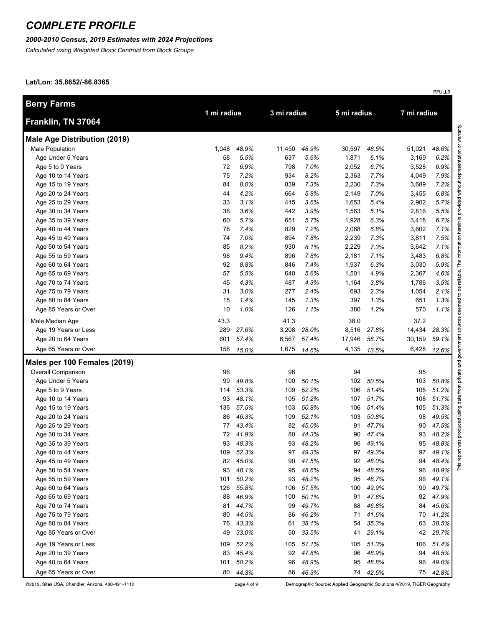### *2000-2010 Census, 2019 Estimates with 2024 Projections*

*Calculated using Weighted Block Centroid from Block Groups*

#### **Lat/Lon: 35.8652/-86.8365**

| <b>Berry Farms</b>                         |             |                |             |                |          |                |          |                |  |
|--------------------------------------------|-------------|----------------|-------------|----------------|----------|----------------|----------|----------------|--|
| Franklin, TN 37064                         | 1 mi radius |                | 3 mi radius |                |          | 5 mi radius    |          | 7 mi radius    |  |
| <b>Male Age Distribution (2019)</b>        |             |                |             |                |          |                |          |                |  |
| Male Population                            | 1,048       | 48.9%          | 11,450      | 48.9%          | 30,597   | 48.5%          | 51,021   | 48.6%          |  |
| Age Under 5 Years                          | 58          | 5.5%           | 637         | 5.6%           | 1,871    | 6.1%           | 3,169    | 6.2%           |  |
| Age 5 to 9 Years                           | 72          | 6.9%           | 798         | 7.0%           | 2,052    | 6.7%           | 3,528    | 6.9%           |  |
| Age 10 to 14 Years                         | 75          | 7.2%           | 934         | 8.2%           | 2,363    | 7.7%           | 4,049    | 7.9%           |  |
| Age 15 to 19 Years                         | 84          | 8.0%           | 839         | 7.3%           | 2,230    | 7.3%           | 3,689    | 7.2%           |  |
| Age 20 to 24 Years                         | 44          | 4.2%           | 664         | 5.8%           | 2,149    | 7.0%           | 3,455    | 6.8%           |  |
| Age 25 to 29 Years                         | 33          | 3.1%           | 415         | 3.6%           | 1,653    | 5.4%           | 2,902    | 5.7%           |  |
| Age 30 to 34 Years                         | 38          | 3.6%           | 442         | 3.9%           | 1,563    | 5.1%           | 2,816    | 5.5%           |  |
| Age 35 to 39 Years                         | 60          | 5.7%           | 651         | 5.7%           | 1,928    | 6.3%           | 3,418    | 6.7%           |  |
| Age 40 to 44 Years                         | 78          | 7.4%           | 829         | 7.2%           | 2,068    | 6.8%           | 3,602    | 7.1%           |  |
| Age 45 to 49 Years                         | 74          | 7.0%           | 894         | 7.8%           | 2,239    | 7.3%           | 3,811    | 7.5%           |  |
| Age 50 to 54 Years                         | 85          | 8.2%           | 930         | 8.1%           | 2,229    | 7.3%           | 3,642    | 7.1%           |  |
| Age 55 to 59 Years                         | 98          | 9.4%           | 896         | 7.8%           | 2,181    | 7.1%           | 3,483    | 6.8%           |  |
| Age 60 to 64 Years                         | 92          | 8.8%           | 846         | 7.4%           | 1,937    | 6.3%           | 3,030    | 5.9%           |  |
| Age 65 to 69 Years                         | 57          | 5.5%           | 640         | 5.6%           | 1,501    | 4.9%           | 2,367    | 4.6%           |  |
| Age 70 to 74 Years                         | 45          | 4.3%           | 487         | 4.3%           | 1,164    | 3.8%           | 1,786    | 3.5%           |  |
| Age 75 to 79 Years                         | 31          | 3.0%           | 277         | 2.4%           | 693      | 2.3%           | 1,054    | 2.1%           |  |
| Age 80 to 84 Years                         | 15          | 1.4%           | 145         | 1.3%           | 397      | 1.3%           | 651      | 1.3%           |  |
| Age 85 Years or Over                       | 10          | 1.0%           | 126         | 1.1%           | 380      | 1.2%           | 570      | 1.1%           |  |
| Male Median Age                            | 43.3        |                | 41.3        |                | 38.0     |                | 37.2     |                |  |
| Age 19 Years or Less                       | 289         | 27.6%          | 3,208       | 28.0%          | 8,516    | 27.8%          | 14,434   | 28.3%          |  |
| Age 20 to 64 Years                         | 601         | 57.4%          | 6,567       | 57.4%          | 17,946   | 58.7%          | 30,159   | 59.1%          |  |
| Age 65 Years or Over                       | 158         | 15.0%          | 1,675       | 14.6%          | 4,135    | 13.5%          | 6,428    | 12.6%          |  |
| Males per 100 Females (2019)               |             |                |             |                |          |                |          |                |  |
| Overall Comparison                         | 96          |                | 96          |                | 94       |                | 95       |                |  |
| Age Under 5 Years                          | 99          | 49.8%          | 100         | 50.1%          | 102      | 50.5%          | 103      | 50.8%          |  |
| Age 5 to 9 Years                           | 114         | 53.3%          | 109         | 52.2%          | 106      | 51.4%          | 105      | 51.2%          |  |
| Age 10 to 14 Years                         | 93          | 48.1%          | 105         | 51.2%          | 107      | 51.7%          | 108      | 51.7%          |  |
| Age 15 to 19 Years                         | 135         | 57.5%          | 103         | 50.8%          | 106      | 51.4%          | 105      | 51.3%          |  |
| Age 20 to 24 Years                         | 86          | 46.3%          | 109         | 52.1%          | 103      | 50.8%          | 98       | 49.5%          |  |
| Age 25 to 29 Years                         | 77          | 43.4%          | 82          | 45.0%          | 91       | 47.7%          | 90       | 47.5%          |  |
| Age 30 to 34 Years                         | 72          | 41.9%          | 80          | 44.3%          | 90       | 47.4%          | 93       | 48.2%          |  |
| Age 35 to 39 Years                         | 93          | 48.3%          | 93          | 48.2%          | 96       | 49.1%          | 95       | 48.8%          |  |
| Age 40 to 44 Years                         | 109         | 52.3%          | 97          | 49.3%          | 97       | 49.3%          | 97       | 49.1%          |  |
| Age 45 to 49 Years                         | 82          | 45.0%          | 90          | 47.5%          | 92       | 48.0%          | 94       | 48.4%          |  |
| Age 50 to 54 Years                         | 93          | 48.1%          | 95          | 48.6%          | 94       | 48.5%          | 96       | 48.9%          |  |
| Age 55 to 59 Years                         | 101         | 50.2%          | 93          | 48.2%          | 95       | 48.7%          | 96       | 49.1%          |  |
| Age 60 to 64 Years                         | 126         | 55.8%<br>46.9% | 106<br>100  | 51.5%<br>50.1% | 100      | 49.9%<br>47.6% | 99<br>92 | 49.7%          |  |
| Age 65 to 69 Years                         | 88          | 44.7%          |             | 49.7%          | 91       | 46.8%          |          | 47.9%          |  |
| Age 70 to 74 Years<br>Age 75 to 79 Years   | 81<br>80    | 44.5%          | 99<br>86    | 46.2%          | 88<br>71 | 41.6%          | 84<br>70 | 45.6%<br>41.2% |  |
|                                            | 76          | 43.3%          |             |                | 54       | 35.3%          |          |                |  |
| Age 80 to 84 Years<br>Age 85 Years or Over | 49          | 33.0%          | 61<br>50    | 38.1%<br>33.5% | 41       | 29.1%          | 63<br>42 | 38.5%<br>29.7% |  |
|                                            |             |                |             |                |          |                |          |                |  |
| Age 19 Years or Less                       | 109         | 52.2%          | 105         | 51.1%          | 105      | 51.3%          | 106      | 51.4%          |  |
| Age 20 to 39 Years                         | 83          | 45.4%          | 92          | 47.8%          | 96       | 48.9%          | 94       | 48.5%          |  |
| Age 40 to 64 Years                         | 101         | 50.2%          | 96          | 48.9%          | 95       | 48.8%          | 96       | 49.0%          |  |
| Age 65 Years or Over                       | 80          | 44.3%          | 86          | 46.3%          |          | 74 42.5%       | 75       | 42.8%          |  |

©2019, Sites USA, Chandler, Arizona, 480-491-1112

Demographic Source: Applied Geographic Solutions 4/2019, TIGER Geography

page 4 of 9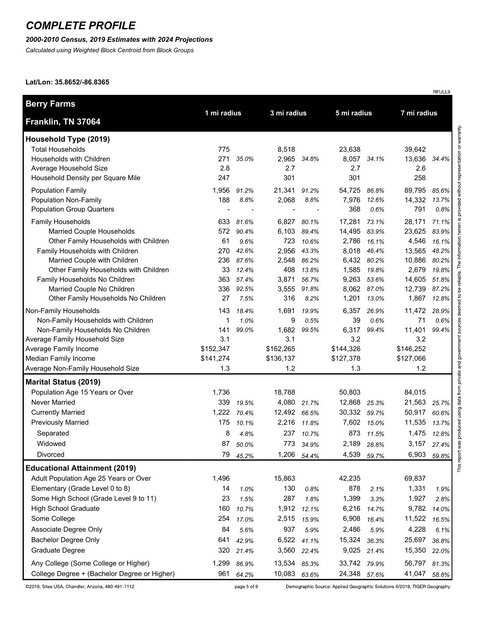## *2000-2010 Census, 2019 Estimates with 2024 Projections*

*Calculated using Weighted Block Centroid from Block Groups*

#### **Lat/Lon: 35.8652/-86.8365**

| <b>Berry Farms</b>                                                     | 1 mi radius |                | 3 mi radius  |                |                |                | 7 mi radius     |                |
|------------------------------------------------------------------------|-------------|----------------|--------------|----------------|----------------|----------------|-----------------|----------------|
| Franklin, TN 37064                                                     |             |                |              |                | 5 mi radius    |                |                 |                |
| Household Type (2019)                                                  |             |                |              |                |                |                |                 |                |
| <b>Total Households</b>                                                | 775         |                | 8,518        |                | 23,638         |                | 39,642          |                |
| Households with Children                                               | 271         | 35.0%          | 2,965        | 34.8%          |                | 8,057 34.1%    | 13,636          | 34.4%          |
| Average Household Size                                                 | 2.8         |                | 2.7          |                | 2.7            |                | 2.6             |                |
| Household Density per Square Mile                                      | 247         |                | 301          |                | 301            |                | 258             |                |
| <b>Population Family</b>                                               | 1,956       | 91.2%          | 21,341       | 91.2%          | 54,725         | 86.8%          | 89,795          | 85.6%          |
| <b>Population Non-Family</b>                                           | 188         | 8.8%           | 2,068        | 8.8%           | 7,976          | 12.6%          | 14,332          | 13.7%          |
| <b>Population Group Quarters</b>                                       |             |                |              |                | 368            | 0.6%           | 791             | 0.8%           |
| <b>Family Households</b>                                               | 633         | 81.6%          | 6,827        | 80.1%          | 17,281         | 73.1%          | 28,171          | 71.1%          |
| Married Couple Households                                              | 572         | 90.4%          | 6,103        | 89.4%          | 14,495         | 83.9%          | 23,625          | 83.9%          |
| Other Family Households with Children                                  | 61          | 9.6%           | 723          | 10.6%          | 2,786          | 16.1%          | 4,546           | 16.1%          |
| Family Households with Children                                        | 270         | 42.6%          | 2,956        | 43.3%          | 8,018          | 46.4%          | 13,565          | 48.2%          |
| Married Couple with Children                                           | 236         | 87.6%          | 2,548        | 86.2%<br>13.8% |                | 6,432 80.2%    | 10,886          | 80.2%          |
| Other Family Households with Children<br>Family Households No Children | 33<br>363   | 12.4%<br>57.4% | 408<br>3,871 | 56.7%          | 1,585<br>9,263 | 19.8%<br>53.6% | 2,679<br>14,605 | 19.8%<br>51.8% |
| Married Couple No Children                                             | 336         | 92.5%          | 3,555        | 91.8%          | 8,062          | 87.0%          | 12,739          | 87.2%          |
| Other Family Households No Children                                    | 27          | 7.5%           | 316          | 8.2%           | 1,201          | 13.0%          | 1,867           | 12.8%          |
| Non-Family Households                                                  | 143         | 18.4%          | 1,691        | 19.9%          | 6,357          | 26.9%          | 11,472          | 28.9%          |
| Non-Family Households with Children                                    | 1           | 1.0%           | 9            | 0.5%           | 39             | 0.6%           | 71              | 0.6%           |
| Non-Family Households No Children                                      | 141         | 99.0%          | 1,682        | 99.5%          | 6,317          | 99.4%          | 11,401          | 99.4%          |
| Average Family Household Size                                          | 3.1         |                | 3.1          |                | 3.2            |                | 3.2             |                |
| Average Family Income                                                  | \$152,347   |                | \$162,265    |                | \$144,326      |                | \$146,252       |                |
| Median Family Income                                                   | \$141,274   |                | \$136,137    |                | \$127,378      |                | \$127,066       |                |
| Average Non-Family Household Size                                      | 1.3         |                | 1.2          |                | 1.3            |                | 1.2             |                |
| <b>Marital Status (2019)</b>                                           |             |                |              |                |                |                |                 |                |
| Population Age 15 Years or Over                                        | 1,736       |                | 18,788       |                | 50,803         |                | 84,015          |                |
| Never Married                                                          | 339         | 19.5%          | 4,080        | 21.7%          | 12,868         | 25.3%          | 21,563          | 25.7%          |
| <b>Currently Married</b>                                               | 1,222       | 70.4%          | 12,492 66.5% |                | 30,332 59.7%   |                | 50,917          | 60.6%          |
| <b>Previously Married</b>                                              | 175         | 10.1%          | 2,216        | 11.8%          | 7,602          | 15.0%          | 11,535          | 13.7%          |
| Separated                                                              | 8           | 4.8%           | 237          | 10.7%          | 873            | 11.5%          | 1,475           | 12.8%          |
| Widowed                                                                | 87          | 50.0%          | 773          | 34.9%          | 2,189          | 28.8%          | 3,157           | 27.4%          |
| Divorced                                                               | 79          | 45.2%          | 1,206        | 54.4%          | 4,539          | 59.7%          | 6,903           | 59.8%          |
| <b>Educational Attainment (2019)</b>                                   |             |                |              |                |                |                |                 |                |
| Adult Population Age 25 Years or Over                                  | 1,496       |                | 15,863       |                | 42,235         |                | 69,837          |                |
| Elementary (Grade Level 0 to 8)                                        | 14          | 1.0%           | 130          | 0.8%           | 878            | 2.1%           | 1,331           | 1.9%           |
| Some High School (Grade Level 9 to 11)                                 | 23          | 1.5%           | 287          | 1.8%           | 1,399          | 3.3%           | 1,927           | 2.8%           |
| <b>High School Graduate</b>                                            | 160         | 10.7%          | 1,912        | 12.1%          | 6,216          | 14.7%          | 9,782           | 14.0%          |
| Some College                                                           | 254         | 17.0%          | 2,515        | 15.9%          | 6,908          | 16.4%          | 11,522          | 16.5%          |
| Associate Degree Only                                                  | 84          | 5.6%           | 937          | 5.9%           | 2,486          | 5.9%           | 4,228           | 6.1%           |
| <b>Bachelor Degree Only</b>                                            | 641         | 42.9%          | 6,522        | 41.1%          | 15,324         | 36.3%          | 25,697          | 36.8%          |
| Graduate Degree                                                        | 320         | 21.4%          | 3,560        | 22.4%          | 9,025          | 21.4%          | 15,350          | 22.0%          |
| Any College (Some College or Higher)                                   | 1,299       | 86.9%          | 13,534       | 85.3%          | 33,742         | 79.9%          | 56,797          | 81.3%          |
| College Degree + (Bachelor Degree or Higher)                           | 961         | 64.2%          | 10,083       | 63.6%          | 24,348 57.6%   |                | 41,047          | 58.8%          |

©2019, Sites USA, Chandler, Arizona, 480-491-1112

Demographic Source: Applied Geographic Solutions 4/2019, TIGER Geography

page 5 of 9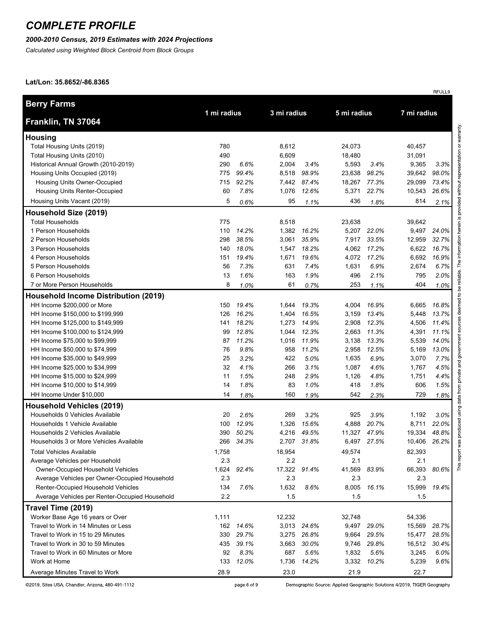### *2000-2010 Census, 2019 Estimates with 2024 Projections*

*Calculated using Weighted Block Centroid from Block Groups*

#### **Lat/Lon: 35.8652/-86.8365**

| <b>Berry Farms</b>                             |             |       |              |             |             |             |             |       |
|------------------------------------------------|-------------|-------|--------------|-------------|-------------|-------------|-------------|-------|
| Franklin, TN 37064                             | 1 mi radius |       | 3 mi radius  |             | 5 mi radius |             | 7 mi radius |       |
| <b>Housing</b>                                 |             |       |              |             |             |             |             |       |
| Total Housing Units (2019)                     | 780         |       | 8,612        |             | 24,073      |             | 40,457      |       |
| Total Housing Units (2010)                     | 490         |       | 6,609        |             | 18,480      |             | 31,091      |       |
| Historical Annual Growth (2010-2019)           | 290         | 6.6%  | 2,004        | 3.4%        | 5,593       | 3.4%        | 9,365       | 3.3%  |
| Housing Units Occupied (2019)                  | 775         | 99.4% | 8,518        | 98.9%       | 23,638      | 98.2%       | 39,642      | 98.0% |
| Housing Units Owner-Occupied                   | 715         | 92.2% | 7,442        | 87.4%       | 18,267      | 77.3%       | 29,099      | 73.4% |
| Housing Units Renter-Occupied                  | 60          | 7.8%  | 1,076        | 12.6%       | 5,371       | 22.7%       | 10,543      | 26.6% |
| Housing Units Vacant (2019)                    | 5           | 0.6%  | 95           | 1.1%        | 436         | 1.8%        | 814         | 2.1%  |
| Household Size (2019)                          |             |       |              |             |             |             |             |       |
| <b>Total Households</b>                        | 775         |       | 8,518        |             | 23,638      |             | 39,642      |       |
| 1 Person Households                            | 110         | 14.2% | 1,382        | 16.2%       | 5,207       | 22.0%       | 9,497       | 24.0% |
| 2 Person Households                            | 298         | 38.5% | 3,061        | 35.9%       | 7,917       | 33.5%       | 12,959      | 32.7% |
| 3 Person Households                            | 140         | 18.0% | 1,547        | 18.2%       | 4,062       | 17.2%       | 6,622       | 16.7% |
| 4 Person Households                            | 151         | 19.4% | 1,671        | 19.6%       | 4,072       | 17.2%       | 6,692       | 16.9% |
| 5 Person Households                            | 56          | 7.3%  | 631          | 7.4%        | 1,631       | 6.9%        | 2,674       | 6.7%  |
| 6 Person Households                            | 13          | 1.6%  | 163          | 1.9%        | 496         | 2.1%        | 795         | 2.0%  |
| 7 or More Person Households                    | 8           | 1.0%  | 61           | 0.7%        | 253         | 1.1%        | 404         | 1.0%  |
| <b>Household Income Distribution (2019)</b>    |             |       |              |             |             |             |             |       |
| HH Income \$200,000 or More                    | 150         | 19.4% | 1,644        | 19.3%       | 4,004       | 16.9%       | 6,665       | 16.8% |
| HH Income \$150,000 to \$199,999               | 126         | 16.2% | 1,404        | 16.5%       | 3,159       | 13.4%       | 5,448       | 13.7% |
| HH Income \$125,000 to \$149,999               | 141         | 18.2% | 1,273        | 14.9%       | 2,908       | 12.3%       | 4,506       | 11.4% |
| HH Income \$100,000 to \$124,999               | 99          | 12.8% | 1,044        | 12.3%       | 2,663       | 11.3%       | 4,391       | 11.1% |
| HH Income \$75,000 to \$99,999                 | 87          | 11.2% | 1,016        | 11.9%       | 3,138       | 13.3%       | 5,539       | 14.0% |
| HH Income \$50,000 to \$74,999                 | 76          | 9.8%  | 958          | 11.2%       | 2,958       | 12.5%       | 5,169       | 13.0% |
| HH Income \$35,000 to \$49,999                 | 25          | 3.2%  | 422          | 5.0%        | 1,635       | 6.9%        | 3,070       | 7.7%  |
| HH Income \$25,000 to \$34,999                 | 32          | 4.1%  | 266          | 3.1%        | 1,087       | 4.6%        | 1,767       | 4.5%  |
| HH Income \$15,000 to \$24,999                 | 11          | 1.5%  | 248          | 2.9%        | 1,126       | 4.8%        | 1,751       | 4.4%  |
| HH Income \$10,000 to \$14,999                 | 14          | 1.8%  | 83           | 1.0%        | 418         | 1.8%        | 606         | 1.5%  |
| HH Income Under \$10,000                       | 14          | 1.8%  | 160          | 1.9%        | 542         | 2.3%        | 729         | 1.8%  |
| <b>Household Vehicles (2019)</b>               |             |       |              |             |             |             |             |       |
| Households 0 Vehicles Available                | 20          | 2.6%  | 269          | 3.2%        | 925         | 3.9%        | 1,192       | 3.0%  |
| Households 1 Vehicle Available                 | 100         | 12.9% | 1,326        | 15.6%       | 4,888       | 20.7%       | 8,711       | 22.0% |
| Households 2 Vehicles Available                | 390         | 50.2% | 4,216        | 49.5%       | 11,327      | 47.9%       | 19,334      | 48.8% |
| Households 3 or More Vehicles Available        | 266         | 34.3% |              | 2,707 31.8% |             | 6,497 27.5% | 10,406      | 26.2% |
| <b>Total Vehicles Available</b>                | 1,758       |       | 18,954       |             | 49,574      |             | 82,393      |       |
| Average Vehicles per Household                 | 2.3         |       | 2.2          |             | 2.1         |             | 2.1         |       |
| Owner-Occupied Household Vehicles              | 1,624       | 92.4% | 17,322 91.4% |             | 41,569      | 83.9%       | 66,393      | 80.6% |
| Average Vehicles per Owner-Occupied Household  | 2.3         |       | 2.3          |             | 2.3         |             | 2.3         |       |
| Renter-Occupied Household Vehicles             | 134         | 7.6%  | 1,632        | 8.6%        | 8,005       | 16.1%       | 15,999      | 19.4% |
| Average Vehicles per Renter-Occupied Household | 2.2         |       | 1.5          |             | 1.5         |             | 1.5         |       |
| Travel Time (2019)                             |             |       |              |             |             |             |             |       |
| Worker Base Age 16 years or Over               | 1,111       |       | 12,232       |             | 32,748      |             | 54,336      |       |
| Travel to Work in 14 Minutes or Less           | 162         | 14.6% | 3,013        | 24.6%       | 9,497       | 29.0%       | 15,569      | 28.7% |
| Travel to Work in 15 to 29 Minutes             | 330         | 29.7% | 3,275        | 26.8%       | 9,664       | 29.5%       | 15,477      | 28.5% |
| Travel to Work in 30 to 59 Minutes             | 435         | 39.1% | 3,663        | 30.0%       | 9,746       | 29.8%       | 16,512      | 30.4% |
| Travel to Work in 60 Minutes or More           | 92          | 8.3%  | 687          | 5.6%        | 1,832       | 5.6%        | 3,245       | 6.0%  |
| Work at Home                                   | 133         | 12.0% | 1,736        | 14.2%       | 3,332       | 10.2%       | 5,239       | 9.6%  |
| Average Minutes Travel to Work                 | 28.9        |       | 23.0         |             | 21.9        |             | 22.7        |       |

©2019, Sites USA, Chandler, Arizona, 480-491-1112

Demographic Source: Applied Geographic Solutions 4/2019, TIGER Geography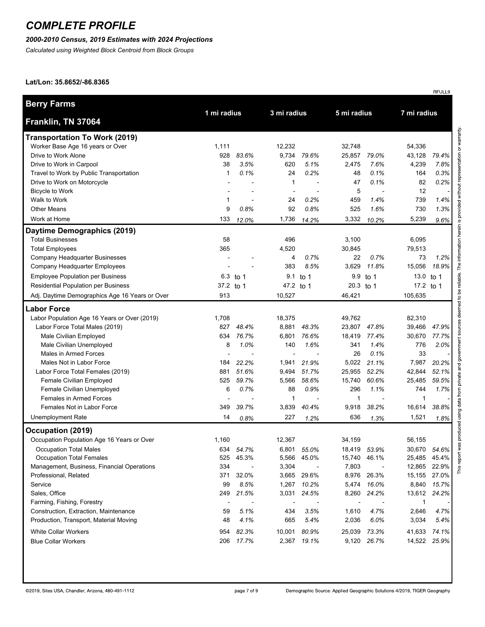## *2000-2010 Census, 2019 Estimates with 2024 Projections*

*Calculated using Weighted Block Centroid from Block Groups*

### **Lat/Lon: 35.8652/-86.8365**

|                                                |                          |                          |              |                          |             |                          |             | RFULL9 |
|------------------------------------------------|--------------------------|--------------------------|--------------|--------------------------|-------------|--------------------------|-------------|--------|
| <b>Berry Farms</b>                             | 1 mi radius              |                          | 3 mi radius  |                          | 5 mi radius |                          | 7 mi radius |        |
| Franklin, TN 37064                             |                          |                          |              |                          |             |                          |             |        |
| <b>Transportation To Work (2019)</b>           |                          |                          |              |                          |             |                          |             |        |
| Worker Base Age 16 years or Over               | 1,111                    |                          | 12,232       |                          | 32,748      |                          | 54,336      |        |
| Drive to Work Alone                            | 928                      | 83.6%                    | 9,734        | 79.6%                    | 25,857      | 79.0%                    | 43,128      | 79.4%  |
| Drive to Work in Carpool                       | 38                       | 3.5%                     | 620          | 5.1%                     | 2,475       | 7.6%                     | 4,239       | 7.8%   |
| Travel to Work by Public Transportation        | 1                        | 0.1%                     | 24           | 0.2%                     | 48          | 0.1%                     | 164         | 0.3%   |
| Drive to Work on Motorcycle                    |                          |                          | $\mathbf{1}$ |                          | 47          | 0.1%                     | 82          | 0.2%   |
| Bicycle to Work                                |                          |                          |              |                          | 5           |                          | 12          |        |
| Walk to Work                                   | 1                        |                          | 24           | 0.2%                     | 459         | 1.4%                     | 739         | 1.4%   |
| <b>Other Means</b>                             | 9                        | 0.8%                     | 92           | 0.8%                     | 525         | 1.6%                     | 730         | 1.3%   |
| Work at Home                                   | 133                      | 12.0%                    | 1,736        | 14.2%                    | 3,332       | 10.2%                    | 5,239       | 9.6%   |
| Daytime Demographics (2019)                    |                          |                          |              |                          |             |                          |             |        |
| <b>Total Businesses</b>                        | 58                       |                          | 496          |                          | 3,100       |                          | 6,095       |        |
| <b>Total Employees</b>                         | 365                      |                          | 4,520        |                          | 30,845      |                          | 79,513      |        |
| Company Headquarter Businesses                 |                          |                          | 4            | 0.7%                     | 22          | 0.7%                     | 73          | 1.2%   |
| Company Headquarter Employees                  |                          |                          | 383          | 8.5%                     | 3,629       | 11.8%                    | 15,056      | 18.9%  |
| <b>Employee Population per Business</b>        | 6.3                      | to 1                     |              | $9.1$ to 1               | 9.9         | to 1                     | 13.0        | to 1   |
| Residential Population per Business            | 37.2                     | to 1                     | 47.2 to 1    |                          | 20.3 to 1   |                          | 17.2 to 1   |        |
| Adj. Daytime Demographics Age 16 Years or Over | 913                      |                          | 10,527       |                          | 46,421      |                          | 105,635     |        |
| <b>Labor Force</b>                             |                          |                          |              |                          |             |                          |             |        |
| Labor Population Age 16 Years or Over (2019)   | 1,708                    |                          | 18,375       |                          | 49,762      |                          | 82,310      |        |
| Labor Force Total Males (2019)                 | 827                      | 48.4%                    | 8,881        | 48.3%                    | 23,807      | 47.8%                    | 39,466      | 47.9%  |
| Male Civilian Employed                         | 634                      | 76.7%                    | 6,801        | 76.6%                    | 18,419      | 77.4%                    | 30,670      | 77.7%  |
| Male Civilian Unemployed                       | 8                        | 1.0%                     | 140          | 1.6%                     | 341         | 1.4%                     | 776         | 2.0%   |
| Males in Armed Forces                          |                          |                          |              |                          | 26          | 0.1%                     | 33          |        |
| Males Not in Labor Force                       | 184                      | 22.2%                    | 1,941        | 21.9%                    | 5,022       | 21.1%                    | 7,987       | 20.2%  |
| Labor Force Total Females (2019)               | 881                      | 51.6%                    | 9,494        | 51.7%                    | 25,955      | 52.2%                    | 42,844      | 52.1%  |
| Female Civilian Employed                       | 525                      | 59.7%                    | 5,566        | 58.6%                    | 15,740      | 60.6%                    | 25,485      | 59.5%  |
| Female Civilian Unemployed                     | 6                        | 0.7%                     | 88           | 0.9%                     | 296         | 1.1%                     | 744         | 1.7%   |
| Females in Armed Forces                        |                          |                          | $\mathbf{1}$ |                          | 1           |                          | 1           |        |
| Females Not in Labor Force                     | 349                      | 39.7%                    | 3,839        | 40.4%                    | 9,918       | 38.2%                    | 16,614      | 38.8%  |
| <b>Unemployment Rate</b>                       | 14                       | 0.8%                     | 227          | 1.2%                     | 636         | 1.3%                     | 1,521       | 1.8%   |
| Occupation (2019)                              |                          |                          |              |                          |             |                          |             |        |
| Occupation Population Age 16 Years or Over     | 1,160                    |                          | 12,367       |                          | 34,159      |                          | 56,155      |        |
| <b>Occupation Total Males</b>                  | 634                      | 54.7%                    | 6,801        | 55.0%                    |             | 18,419 53.9%             | 30,670      | 54.6%  |
| <b>Occupation Total Females</b>                | 525                      | 45.3%                    | 5,566        | 45.0%                    | 15,740      | 46.1%                    | 25,485      | 45.4%  |
| Management, Business, Financial Operations     | 334                      | $\overline{\phantom{a}}$ | 3,304        | $\overline{\phantom{a}}$ | 7,803       | $\overline{\phantom{a}}$ | 12,865      | 22.9%  |
| Professional, Related                          | 371                      | 32.0%                    | 3,665        | 29.6%                    | 8,976       | 26.3%                    | 15,155      | 27.0%  |
| Service                                        | 99                       | 8.5%                     | 1,267        | 10.2%                    | 5,474       | 16.0%                    | 8,840       | 15.7%  |
| Sales, Office                                  | 249                      | 21.5%                    | 3,031        | 24.5%                    | 8,260       | 24.2%                    | 13,612      | 24.2%  |
| Farming, Fishing, Forestry                     | $\overline{\phantom{a}}$ |                          |              |                          |             |                          | 1           |        |
| Construction, Extraction, Maintenance          | 59                       | 5.1%                     | 434          | 3.5%                     | 1,610       | 4.7%                     | 2,646       | 4.7%   |
| Production, Transport, Material Moving         | 48                       | 4.1%                     | 665          | 5.4%                     | 2,036       | 6.0%                     | 3,034       | 5.4%   |
| <b>White Collar Workers</b>                    | 954                      | 82.3%                    | 10,001       | 80.9%                    | 25,039      | 73.3%                    | 41,633      | 74.1%  |
| <b>Blue Collar Workers</b>                     | 206                      | 17.7%                    | 2,367        | 19.1%                    |             | 9,120 26.7%              | 14,522      | 25.9%  |
|                                                |                          |                          |              |                          |             |                          |             |        |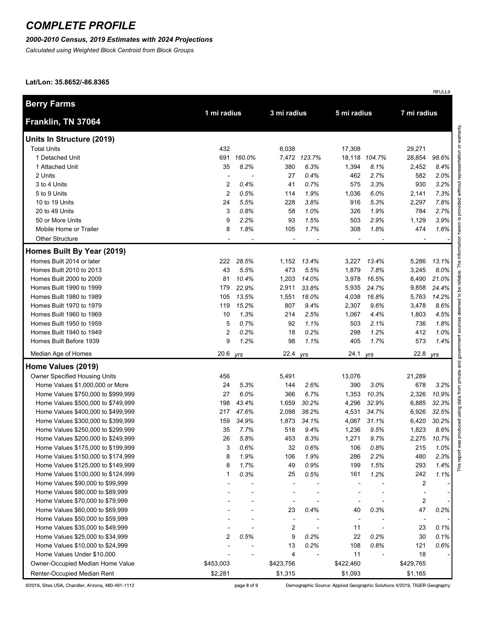### *2000-2010 Census, 2019 Estimates with 2024 Projections*

*Calculated using Weighted Block Centroid from Block Groups*

#### **Lat/Lon: 35.8652/-86.8365**

| <b>Berry Farms</b>                   |                          |        |                          |                          |             |               |                |       |  |
|--------------------------------------|--------------------------|--------|--------------------------|--------------------------|-------------|---------------|----------------|-------|--|
| Franklin, TN 37064                   | 1 mi radius              |        | 3 mi radius              |                          | 5 mi radius |               | 7 mi radius    |       |  |
| Units In Structure (2019)            |                          |        |                          |                          |             |               |                |       |  |
| <b>Total Units</b>                   | 432                      |        | 6,038                    |                          | 17,308      |               | 29,271         |       |  |
| 1 Detached Unit                      | 691                      | 160.0% |                          | 7,472 123.7%             |             | 18,118 104.7% | 28,854         | 98.6% |  |
| 1 Attached Unit                      | 35                       | 8.2%   | 380                      | 6.3%                     | 1,394       | 8.1%          | 2,452          | 8.4%  |  |
| 2 Units                              | $\overline{\phantom{a}}$ |        | 27                       | 0.4%                     | 462         | 2.7%          | 582            | 2.0%  |  |
| 3 to 4 Units                         | 2                        | 0.4%   | 41                       | 0.7%                     | 575         | 3.3%          | 930            | 3.2%  |  |
| 5 to 9 Units                         | 2                        | 0.5%   | 114                      | 1.9%                     | 1,036       | 6.0%          | 2,141          | 7.3%  |  |
| 10 to 19 Units                       | 24                       | 5.5%   | 228                      | 3.8%                     | 916         | 5.3%          | 2,297          | 7.8%  |  |
| 20 to 49 Units                       | 3                        | 0.8%   | 58                       | 1.0%                     | 326         | 1.9%          | 784            | 2.7%  |  |
| 50 or More Units                     | 9                        | 2.2%   | 93                       | 1.5%                     | 503         | 2.9%          | 1,129          | 3.9%  |  |
| Mobile Home or Trailer               | 8                        | 1.8%   | 105                      | 1.7%                     | 308         | 1.8%          | 474            | 1.6%  |  |
| Other Structure                      | $\blacksquare$           |        | $\overline{\phantom{a}}$ | $\overline{\phantom{a}}$ |             |               | $\blacksquare$ |       |  |
| Homes Built By Year (2019)           |                          |        |                          |                          |             |               |                |       |  |
| Homes Built 2014 or later            | 222                      | 28.5%  |                          | 1,152 13.4%              | 3,227       | 13.4%         | 5,286          | 13.1% |  |
| Homes Built 2010 to 2013             | 43                       | 5.5%   | 473                      | 5.5%                     | 1,879       | 7.8%          | 3,245          | 8.0%  |  |
| Homes Built 2000 to 2009             | 81                       | 10.4%  | 1,203                    | 14.0%                    | 3,978       | 16.5%         | 8,490          | 21.0% |  |
| Homes Built 1990 to 1999             | 179                      | 22.9%  | 2,911                    | 33.8%                    | 5,935       | 24.7%         | 9,858          | 24.4% |  |
| Homes Built 1980 to 1989             | 105                      | 13.5%  | 1,551                    | 18.0%                    | 4,038       | 16.8%         | 5,763          | 14.2% |  |
| Homes Built 1970 to 1979             | 119                      | 15.2%  | 807                      | 9.4%                     | 2,307       | 9.6%          | 3,478          | 8.6%  |  |
| Homes Built 1960 to 1969             | 10                       | 1.3%   | 214                      | 2.5%                     | 1,067       | 4.4%          | 1,803          | 4.5%  |  |
| Homes Built 1950 to 1959             | 5                        | 0.7%   | 92                       | 1.1%                     | 503         | 2.1%          | 736            | 1.8%  |  |
| Homes Built 1940 to 1949             | 2                        | 0.2%   | 18                       | 0.2%                     | 298         | 1.2%          | 412            | 1.0%  |  |
| Homes Built Before 1939              | 9                        | 1.2%   | 98                       | 1.1%                     | 405         | 1.7%          | 573            | 1.4%  |  |
| Median Age of Homes                  | 20.6                     | yrs    | 22.4 yrs                 |                          | 24.1 yrs    |               | 22.8 yrs       |       |  |
| Home Values (2019)                   |                          |        |                          |                          |             |               |                |       |  |
| <b>Owner Specified Housing Units</b> | 456                      |        | 5,491                    |                          | 13,076      |               | 21,289         |       |  |
| Home Values \$1,000,000 or More      | 24                       | 5.3%   | 144                      | 2.6%                     | 390         | 3.0%          | 678            | 3.2%  |  |
| Home Values \$750,000 to \$999,999   | 27                       | 6.0%   | 366                      | 6.7%                     | 1,353       | 10.3%         | 2,326          | 10.9% |  |
| Home Values \$500,000 to \$749,999   | 198                      | 43.4%  | 1,659                    | 30.2%                    | 4,296       | 32.9%         | 6,885          | 32.3% |  |
| Home Values \$400,000 to \$499,999   | 217                      | 47.6%  | 2,098                    | 38.2%                    | 4,531       | 34.7%         | 6,926          | 32.5% |  |
| Home Values \$300,000 to \$399,999   | 159                      | 34.9%  | 1,873                    | 34.1%                    | 4,067       | 31.1%         | 6,420          | 30.2% |  |
| Home Values \$250,000 to \$299,999   | 35                       | 7.7%   | 518                      | 9.4%                     | 1,236       | 9.5%          | 1,823          | 8.6%  |  |
| Home Values \$200,000 to \$249,999   | 26                       | 5.8%   | 453                      | 8.3%                     | 1,271       | 9.7%          | 2,275          | 10.7% |  |
| Home Values \$175,000 to \$199,999   | 3                        | 0.6%   | 32                       | 0.6%                     | 106         | 0.8%          | 215            | 1.0%  |  |
| Home Values \$150,000 to \$174,999   | 8                        | 1.9%   | 106                      | 1.9%                     | 286         | 2.2%          | 480            | 2.3%  |  |
| Home Values \$125,000 to \$149,999   | 8                        | 1.7%   | 49                       | 0.9%                     | 199         | 1.5%          | 293            | 1.4%  |  |
| Home Values \$100,000 to \$124,999   | 1                        | 0.3%   | 25                       | 0.5%                     | 161         | 1.2%          | 242            | 1.1%  |  |
| Home Values \$90,000 to \$99,999     |                          |        |                          |                          |             |               | 2              |       |  |
| Home Values \$80,000 to \$89,999     |                          |        |                          |                          |             |               |                |       |  |
| Home Values \$70,000 to \$79,999     |                          |        |                          |                          |             |               | $\overline{c}$ |       |  |
| Home Values \$60,000 to \$69,999     |                          |        | 23                       | 0.4%                     | 40          | 0.3%          | 47             | 0.2%  |  |
| Home Values \$50,000 to \$59,999     |                          |        |                          |                          |             |               |                |       |  |
| Home Values \$35,000 to \$49,999     |                          |        | 2                        |                          | 11          |               | 23             | 0.1%  |  |
| Home Values \$25,000 to \$34,999     | 2                        | 0.5%   | 9                        | 0.2%                     | 22          | 0.2%          | 30             | 0.1%  |  |
| Home Values \$10,000 to \$24,999     |                          |        | 13                       | 0.2%                     | 108         | 0.8%          | 121            | 0.6%  |  |
| Home Values Under \$10,000           |                          |        | 4                        |                          | 11          |               | 18             |       |  |
| Owner-Occupied Median Home Value     | \$453,003                |        | \$423,756                |                          | \$422,460   |               | \$429,765      |       |  |
| Renter-Occupied Median Rent          | \$2,281                  |        | \$1,315                  |                          | \$1,093     |               | \$1,165        |       |  |

©2019, Sites USA, Chandler, Arizona, 480-491-1112

Demographic Source: Applied Geographic Solutions 4/2019, TIGER Geography